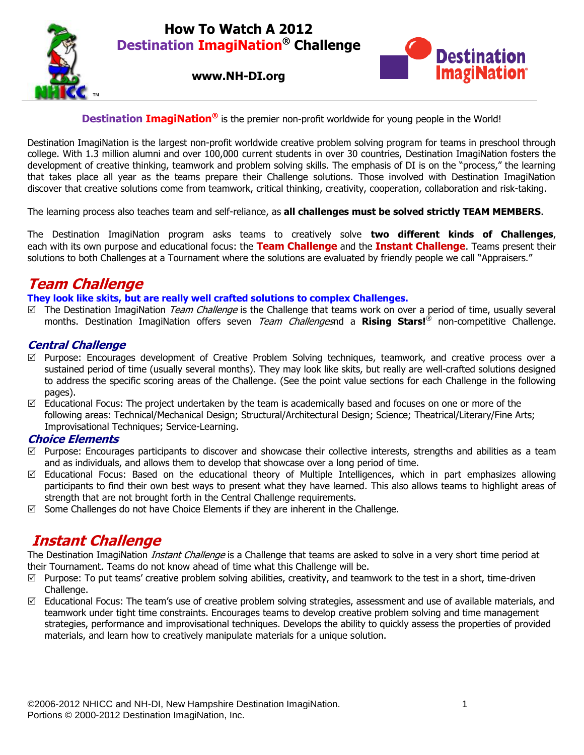## **How To Watch A 2012 Destination ImagiNation® Challenge**







## **Destination ImagiNation<sup>®</sup>** is the premier non-profit worldwide for young people in the World!

Destination ImagiNation is the largest non-profit worldwide creative problem solving program for teams in preschool through college. With 1.3 million alumni and over 100,000 current students in over 30 countries, Destination ImagiNation fosters the development of creative thinking, teamwork and problem solving skills. The emphasis of DI is on the "process," the learning that takes place all year as the teams prepare their Challenge solutions. Those involved with Destination ImagiNation discover that creative solutions come from teamwork, critical thinking, creativity, cooperation, collaboration and risk-taking.

The learning process also teaches team and self-reliance, as **all challenges must be solved strictly TEAM MEMBERS**.

The Destination ImagiNation program asks teams to creatively solve **two different kinds of Challenges**, each with its own purpose and educational focus: the **Team Challenge** and the **Instant Challenge**. Teams present their solutions to both Challenges at a Tournament where the solutions are evaluated by friendly people we call "Appraisers."

# **Team Challenge**

## **They look like skits, but are really well crafted solutions to complex Challenges.**

 $\Box$  The Destination ImagiNation *Team Challenge* is the Challenge that teams work on over a period of time, usually several months. Destination ImagiNation offers seven Team Challengesnd a **Rising Stars!**® non-competitive Challenge.

## **Central Challenge**

- $\boxtimes$  Purpose: Encourages development of Creative Problem Solving techniques, teamwork, and creative process over a sustained period of time (usually several months). They may look like skits, but really are well-crafted solutions designed to address the specific scoring areas of the Challenge. (See the point value sections for each Challenge in the following pages).
- Educational Focus: The project undertaken by the team is academically based and focuses on one or more of the following areas: Technical/Mechanical Design; Structural/Architectural Design; Science; Theatrical/Literary/Fine Arts; Improvisational Techniques; Service-Learning.

## **Choice Elements**

- $\boxtimes$  Purpose: Encourages participants to discover and showcase their collective interests, strengths and abilities as a team and as individuals, and allows them to develop that showcase over a long period of time.
- $\boxtimes$  Educational Focus: Based on the educational theory of Multiple Intelligences, which in part emphasizes allowing participants to find their own best ways to present what they have learned. This also allows teams to highlight areas of strength that are not brought forth in the Central Challenge requirements.
- $\boxtimes$  Some Challenges do not have Choice Elements if they are inherent in the Challenge.

# **Instant Challenge**

The Destination ImagiNation *Instant Challenge* is a Challenge that teams are asked to solve in a very short time period at their Tournament. Teams do not know ahead of time what this Challenge will be.

- $\boxtimes$  Purpose: To put teams' creative problem solving abilities, creativity, and teamwork to the test in a short, time-driven Challenge.
- $\boxtimes$  Educational Focus: The team's use of creative problem solving strategies, assessment and use of available materials, and teamwork under tight time constraints. Encourages teams to develop creative problem solving and time management strategies, performance and improvisational techniques. Develops the ability to quickly assess the properties of provided materials, and learn how to creatively manipulate materials for a unique solution.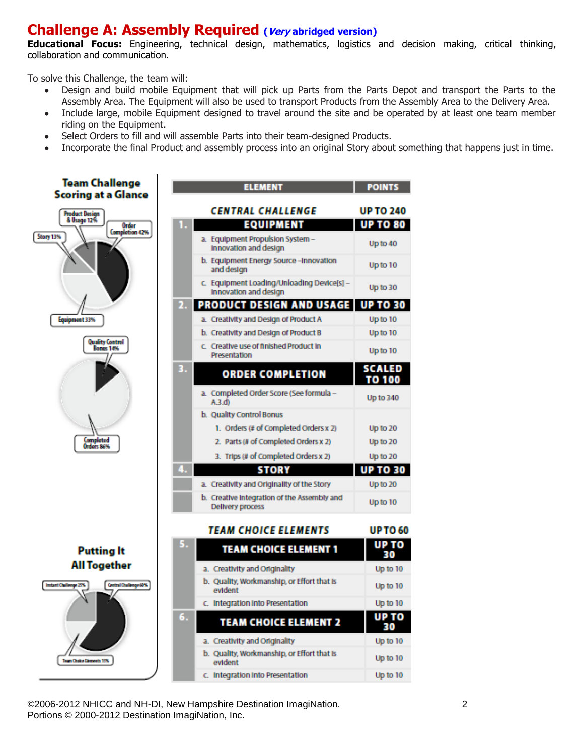# **Challenge A: Assembly Required (Very abridged version)**

**Educational Focus:** Engineering, technical design, mathematics, logistics and decision making, critical thinking, collaboration and communication.

To solve this Challenge, the team will:

- Design and build mobile Equipment that will pick up Parts from the Parts Depot and transport the Parts to the Assembly Area. The Equipment will also be used to transport Products from the Assembly Area to the Delivery Area.
- Include large, mobile Equipment designed to travel around the site and be operated by at least one team member  $\bullet$ riding on the Equipment.
- Select Orders to fill and will assemble Parts into their team-designed Products.
- Incorporate the final Product and assembly process into an original Story about something that happens just in time.



©2006-2012 NHICC and NH-DI, New Hampshire Destination ImagiNation. 2 Portions © 2000-2012 Destination ImagiNation, Inc.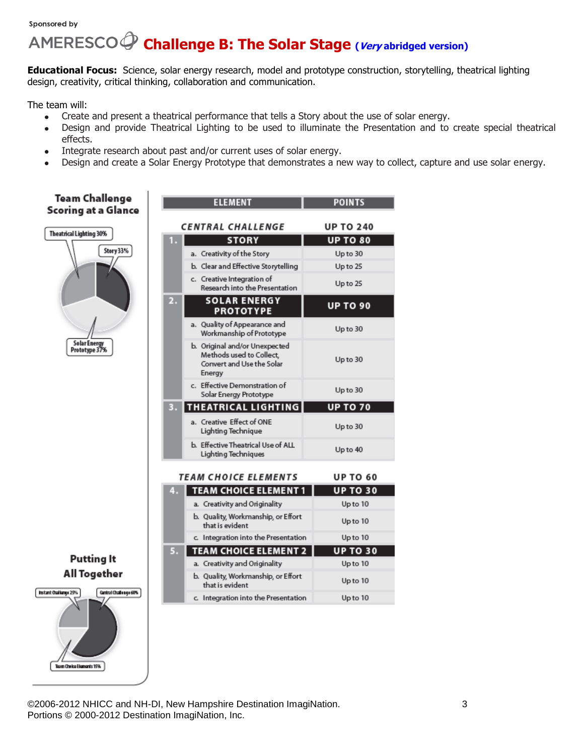#### Sponsored by

# **Challenge B: The Solar Stage (Very abridged version)**

**Educational Focus:** Science, solar energy research, model and prototype construction, storytelling, theatrical lighting design, creativity, critical thinking, collaboration and communication.

The team will:

- Create and present a theatrical performance that tells a Story about the use of solar energy.  $\bullet$
- Design and provide Theatrical Lighting to be used to illuminate the Presentation and to create special theatrical effects.
- Integrate research about past and/or current uses of solar energy.
- Design and create a Solar Energy Prototype that demonstrates a new way to collect, capture and use solar energy.



©2006-2012 NHICC and NH-DI, New Hampshire Destination ImagiNation. 3 Portions © 2000-2012 Destination ImagiNation, Inc.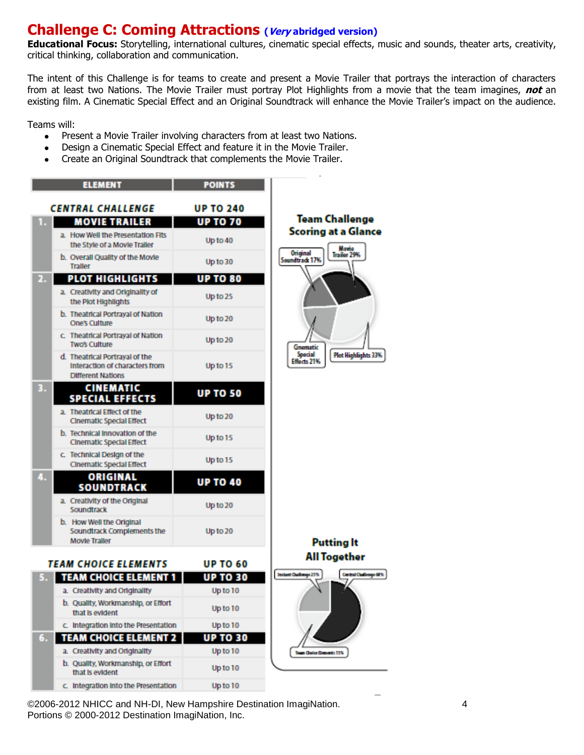# **Challenge C: Coming Attractions (Very abridged version)**

**Educational Focus:** Storytelling, international cultures, cinematic special effects, music and sounds, theater arts, creativity, critical thinking, collaboration and communication.

The intent of this Challenge is for teams to create and present a Movie Trailer that portrays the interaction of characters from at least two Nations. The Movie Trailer must portray Plot Highlights from a movie that the team imagines, **not** an existing film. A Cinematic Special Effect and an Original Soundtrack will enhance the Movie Trailer's impact on the audience.

Teams will:

- $\bullet$ Present a Movie Trailer involving characters from at least two Nations.
- Design a Cinematic Special Effect and feature it in the Movie Trailer.
- Create an Original Soundtrack that complements the Movie Trailer.



©2006-2012 NHICC and NH-DI, New Hampshire Destination ImagiNation. 4 Portions © 2000-2012 Destination ImagiNation, Inc.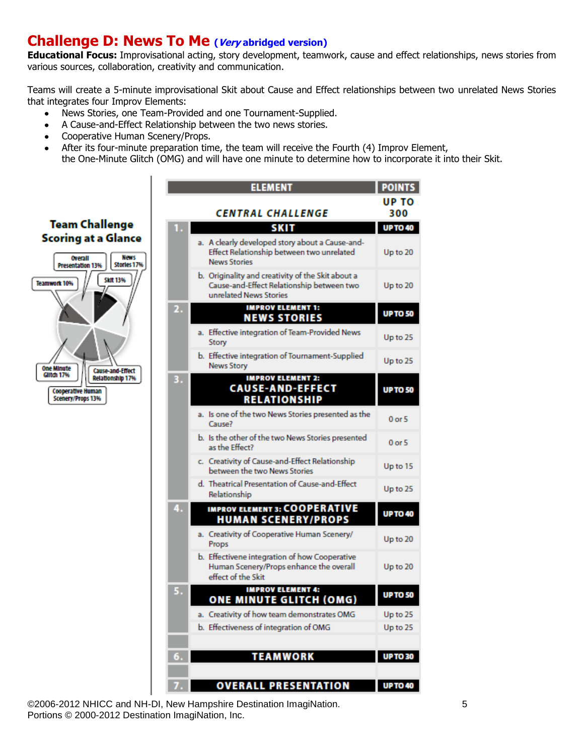# **Challenge D: News To Me (Very abridged version)**

**Educational Focus:** Improvisational acting, story development, teamwork, cause and effect relationships, news stories from various sources, collaboration, creativity and communication.

Teams will create a 5-minute improvisational Skit about Cause and Effect relationships between two unrelated News Stories that integrates four Improv Elements:

- News Stories, one Team-Provided and one Tournament-Supplied.
- A Cause-and-Effect Relationship between the two news stories.
- Cooperative Human Scenery/Props.  $\bullet$
- After its four-minute preparation time, the team will receive the Fourth (4) Improv Element,  $\bullet$
- the One-Minute Glitch (OMG) and will have one minute to determine how to incorporate it into their Skit.



|    | <b>ELEMENT</b>                                                                                                           | POINTS          |
|----|--------------------------------------------------------------------------------------------------------------------------|-----------------|
|    | CENTRAL CHALLENGE                                                                                                        | UP TO<br>300    |
|    | <b>SKIT</b>                                                                                                              | <b>UP TO 40</b> |
|    | a. A clearly developed story about a Cause-and-<br>Effect Relationship between two unrelated<br><b>News Stories</b>      | Up to 20        |
|    | b. Originality and creativity of the Skit about a<br>Cause-and-Effect Relationship between two<br>unrelated News Stories | Up to 20        |
|    | <b>IMPROV ELEMENT 1:</b><br><b>NEWS STORIES</b>                                                                          | <b>UP TO 50</b> |
|    | a. Effective integration of Team-Provided News<br>Story                                                                  | Up to 25        |
|    | b. Effective integration of Tournament-Supplied<br><b>News Story</b>                                                     | Up to 25        |
|    | <b>IMPROV ELEMENT 2:</b><br><b>CAUSE-AND-EFFECT</b><br><b>RELATIONSHIP</b>                                               | <b>UP TO 50</b> |
|    | a. Is one of the two News Stories presented as the<br>Cause?                                                             | $0$ or $5$      |
|    | b. Is the other of the two News Stories presented<br>as the Effect?                                                      | $0$ or $5$      |
|    | c. Creativity of Cause-and-Effect Relationship<br>between the two News Stories                                           | Up to 15        |
|    | d. Theatrical Presentation of Cause-and-Effect<br>Relationship                                                           | Up to 25        |
|    | <b>IMPROV ELEMENT 3: COOPERATIVE</b><br><b>HUMAN SCENERY/PROPS</b>                                                       | <b>UP TO 40</b> |
|    | a. Creativity of Cooperative Human Scenery/<br>Props                                                                     | Up to 20        |
|    | b. Effectivene integration of how Cooperative<br>Human Scenery/Props enhance the overall<br>effect of the Skit           | Up to 20        |
|    | <b>IMPROV ELEMENT 4:</b><br><b>ONE MINUTE GLITCH (OMG)</b>                                                               | <b>UP TO 50</b> |
|    | a. Creativity of how team demonstrates OMG                                                                               | Up to 25        |
|    | b. Effectiveness of integration of OMG                                                                                   | Up to 25        |
|    |                                                                                                                          |                 |
| 6. | <b>TEAMWORK</b>                                                                                                          | <b>UP TO 30</b> |
|    |                                                                                                                          |                 |
|    | <b>OVERALL PRESENTATION</b>                                                                                              | <b>UP TO 40</b> |

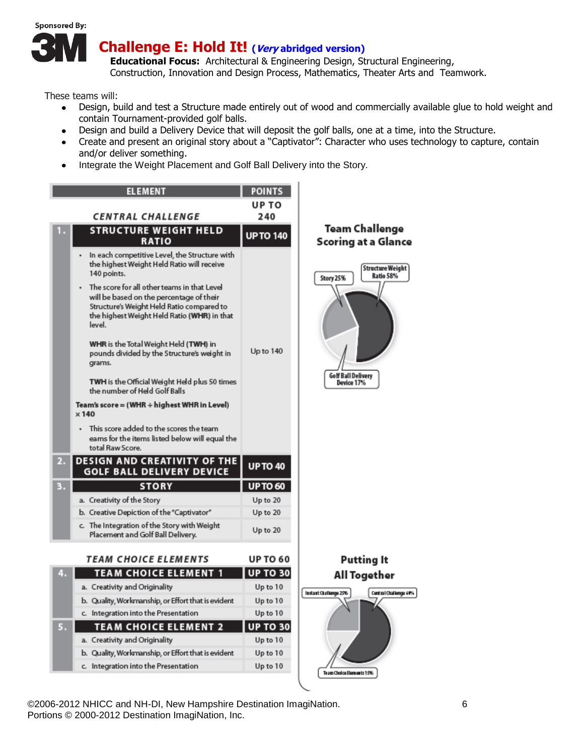

These teams will:

- Design, build and test a Structure made entirely out of wood and commercially available glue to hold weight and contain Tournament-provided golf balls.
- Design and build a Delivery Device that will deposit the golf balls, one at a time, into the Structure.
- Create and present an original story about a "Captivator": Character who uses technology to capture, contain and/or deliver something.
- Integrate the Weight Placement and Golf Ball Delivery into the Story.



©2006-2012 NHICC and NH-DI, New Hampshire Destination ImagiNation. 6 Portions © 2000-2012 Destination ImagiNation, Inc.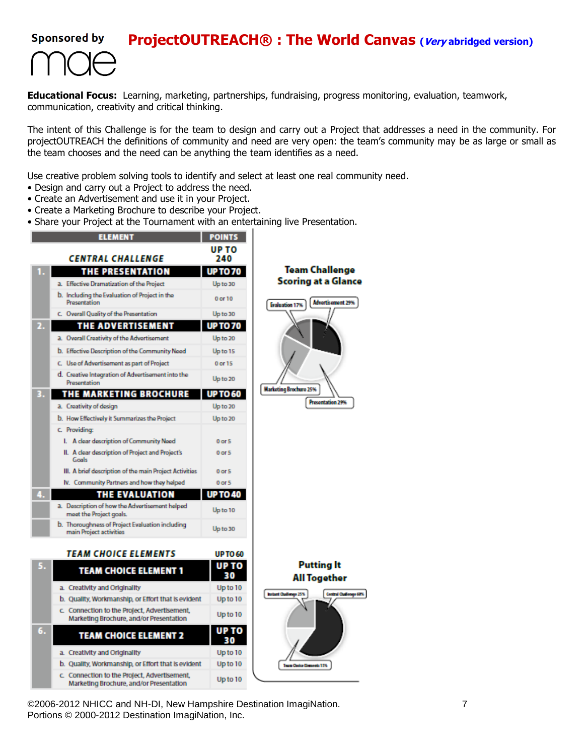#### **Sponsored by ProjectOUTREACH® : The World Canvas (Very abridged version)**



**Educational Focus:** Learning, marketing, partnerships, fundraising, progress monitoring, evaluation, teamwork, communication, creativity and critical thinking.

The intent of this Challenge is for the team to design and carry out a Project that addresses a need in the community. For projectOUTREACH the definitions of community and need are very open: the team's community may be as large or small as the team chooses and the need can be anything the team identifies as a need.

Use creative problem solving tools to identify and select at least one real community need.

- Design and carry out a Project to address the need.
- Create an Advertisement and use it in your Project.
- Create a Marketing Brochure to describe your Project.
- Share your Project at the Tournament with an entertaining live Presentation.



Marketing Brochure, and/or Presentation



6 15% a Ba

©2006-2012 NHICC and NH-DI, New Hampshire Destination ImagiNation. 7 Portions © 2000-2012 Destination ImagiNation, Inc.